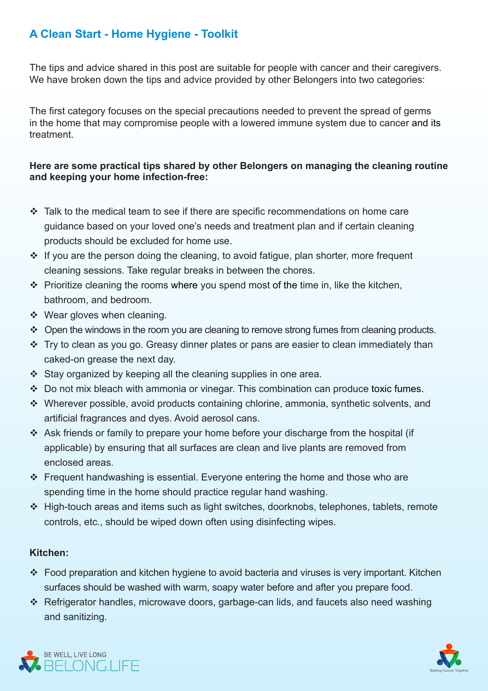# **A Clean Start - Home Hygiene - Toolkit**

The tips and advice shared in this post are suitable for people with cancer and their caregivers. We have broken down the tips and advice provided by other Belongers into two categories:

The first category focuses on the special precautions needed to prevent the spread of germs in the home that may compromise people with a lowered immune system due to cancer and its .treatment

#### Here are some practical tips shared by other Belongers on managing the cleaning routine and keeping your home infection-free:

- $\cdot \cdot$  Talk to the medical team to see if there are specific recommendations on home care quidance based on your loved one's needs and treatment plan and if certain cleaning products should be excluded for home use.
- $\cdot$  If vou are the person doing the cleaning, to avoid fatigue, plan shorter, more frequent . cleaning sessions. Take regular breaks in between the chores.
- $\cdot$  Prioritize cleaning the rooms where you spend most of the time in, like the kitchen, bathroom, and bedroom.
- $\div$  Wear gloves when cleaning.
- $\cdot$  Open the windows in the room you are cleaning to remove strong fumes from cleaning products.
- $\cdot$  Try to clean as you go. Greasy dinner plates or pans are easier to clean immediately than caked-on grease the next day.
- $\div$  Stay organized by keeping all the cleaning supplies in one area.
- $\cdot$  Do not mix bleach with ammonia or vinegar. This combination can produce toxic fumes.
- $\cdot$  Wherever possible, avoid products containing chlorine, ammonia, synthetic solvents, and artificial fragrances and dves. Avoid aerosol cans.
- Ask friends or family to prepare your home before your discharge from the hospital (if applicable) by ensuring that all surfaces are clean and live plants are removed from enclosed areas.
- Frequent handwashing is essential. Everyone entering the home and those who are spending time in the home should practice regular hand washing.
- $\div$  High-touch areas and items such as light switches, doorknobs, telephones, tablets, remote controls, etc., should be wiped down often using disinfecting wipes.

#### **:Kitchen**

- Food preparation and kitchen hygiene to avoid bacteria and viruses is very important. Kitchen surfaces should be washed with warm, soapy water before and after you prepare food.
- $\cdot$  Refrigerator handles, microwave doors, garbage-can lids, and faucets also need washing and sanitizing.



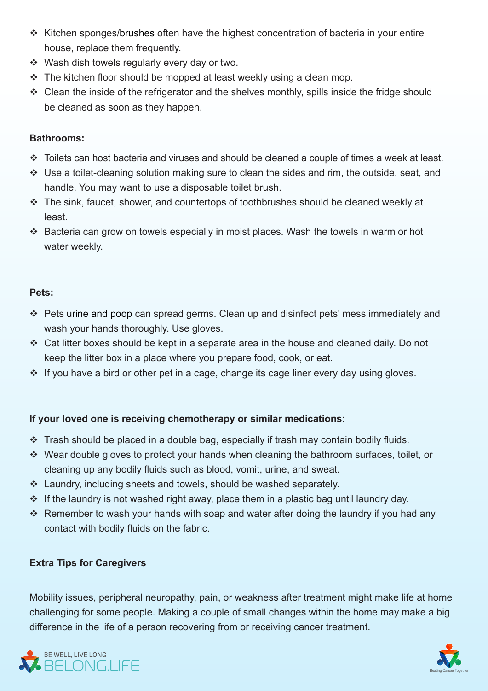- $\cdot$  Kitchen sponges/brushes often have the highest concentration of bacteria in your entire house, replace them frequently.
- ❖ Wash dish towels regularly every day or two.
- $\cdot$  The kitchen floor should be mopped at least weekly using a clean mop.
- $\cdot$  Clean the inside of the refrigerator and the shelves monthly, spills inside the fridge should be cleaned as soon as they happen.

## **:Bathrooms**

- $\cdot$  Toilets can host bacteria and viruses and should be cleaned a couple of times a week at least.
- $\cdot$  Use a toilet-cleaning solution making sure to clean the sides and rim, the outside, seat, and handle. You may want to use a disposable toilet brush.
- $\cdot$  The sink, faucet, shower, and countertops of toothbrushes should be cleaned weekly at least.
- $\cdot$  Bacteria can grow on towels especially in moist places. Wash the towels in warm or hot water weekly.

### **:Pets**

- \* Pets urine and poop can spread germs. Clean up and disinfect pets' mess immediately and wash your hands thoroughly. Use gloves.
- $\cdot$  Cat litter boxes should be kept in a separate area in the house and cleaned daily. Do not keep the litter box in a place where you prepare food, cook, or eat.
- $\cdot$  If you have a bird or other pet in a cage, change its cage liner every day using gloves.

## If your loved one is receiving chemotherapy or similar medications:

- $\cdot$  Trash should be placed in a double bag, especially if trash may contain bodily fluids.
- $\cdot$  Wear double gloves to protect your hands when cleaning the bathroom surfaces, toilet, or cleaning up any bodily fluids such as blood, vomit, urine, and sweat.
- $\cdot$  Laundry, including sheets and towels, should be washed separately.
- $\cdot$  If the laundry is not washed right away, place them in a plastic bag until laundry day.
- $\cdot$  Remember to wash your hands with soap and water after doing the laundry if you had any contact with bodily fluids on the fabric.

## **Extra Tips for Caregivers**

Mobility issues, peripheral neuropathy, pain, or weakness after treatment might make life at home challenging for some people. Making a couple of small changes within the home may make a big difference in the life of a person recovering from or receiving cancer treatment.



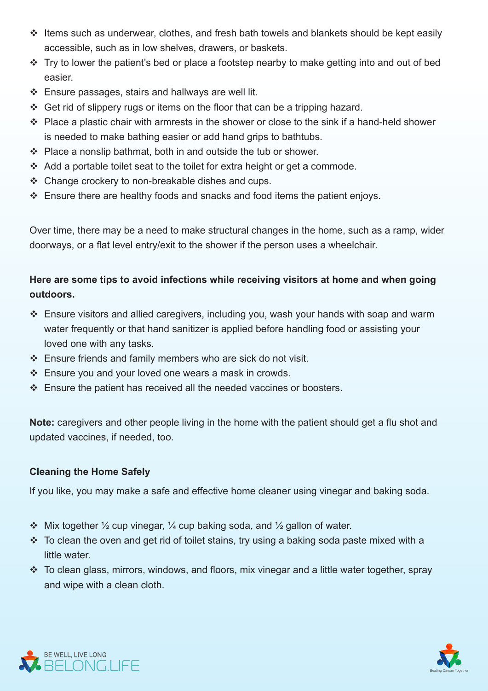- $\cdot$  Items such as underwear, clothes, and fresh bath towels and blankets should be kept easily accessible, such as in low shelves, drawers, or baskets.
- \* Try to lower the patient's bed or place a footstep nearby to make getting into and out of bed .easier
- $\div$  Ensure passages, stairs and hallways are well lit.
- $\div$  Get rid of slippery rugs or items on the floor that can be a tripping hazard.
- $\cdot$  Place a plastic chair with armrests in the shower or close to the sink if a hand-held shower is needed to make bathing easier or add hand grips to bathtubs.
- $\div$  Place a nonslip bathmat, both in and outside the tub or shower.
- $\div$  Add a portable toilet seat to the toilet for extra height or get a commode.
- $\cdot$  Change crockery to non-breakable dishes and cups.
- $\div$  Ensure there are healthy foods and snacks and food items the patient enjoys.

Over time, there may be a need to make structural changes in the home, such as a ramp, wider doorways, or a flat level entry/exit to the shower if the person uses a wheelchair.

## Here are some tips to avoid infections while receiving visitors at home and when going **.outdoors**

- $\cdot$  Ensure visitors and allied caregivers, including you, wash your hands with soap and warm water frequently or that hand sanitizer is applied before handling food or assisting your loved one with any tasks.
- $\div$  Ensure friends and family members who are sick do not visit.
- $\div$  Ensure you and your loved one wears a mask in crowds.
- $\cdot$  Ensure the patient has received all the needed vaccines or boosters.

Note: caregivers and other people living in the home with the patient should get a flu shot and updated vaccines, if needed, too.

## **Cleaning the Home Safely**

If you like, you may make a safe and effective home cleaner using vinegar and baking soda.

- $\cdot$  Mix together  $\frac{1}{2}$  cup vinegar,  $\frac{1}{4}$  cup baking soda, and  $\frac{1}{2}$  gallon of water.
- $\cdot$  To clean the oven and get rid of toilet stains, try using a baking soda paste mixed with a little water
- $\cdot$  To clean glass, mirrors, windows, and floors, mix vinegar and a little water together, spray and wipe with a clean cloth.